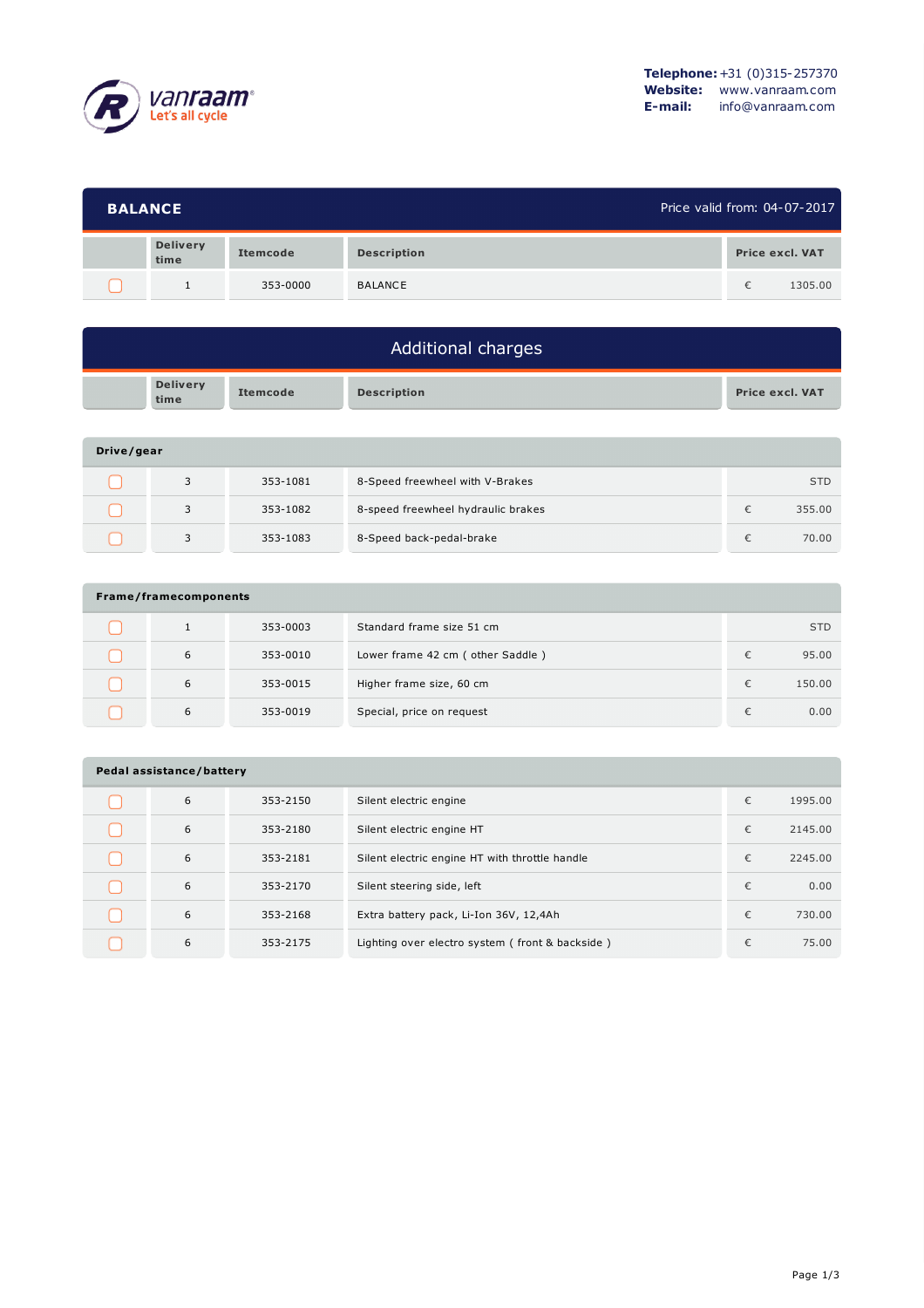

| Price valid from: 04-07-2017<br><b>BALANCE</b> |                 |                    |   |                 |
|------------------------------------------------|-----------------|--------------------|---|-----------------|
| <b>Delivery</b><br>time                        | <b>Itemcode</b> | <b>Description</b> |   | Price excl. VAT |
|                                                | 353-0000        | <b>BALANCE</b>     | € | 1305.00         |

| Additional charges |                         |                 |                    |                 |  |  |
|--------------------|-------------------------|-----------------|--------------------|-----------------|--|--|
|                    | <b>Delivery</b><br>time | <b>Itemcode</b> | <b>Description</b> | Price excl. VAT |  |  |
| Drive/gear         |                         |                 |                    |                 |  |  |

| <b>DIVE, YEAL</b> |  |          |                                    |  |            |  |  |  |
|-------------------|--|----------|------------------------------------|--|------------|--|--|--|
|                   |  | 353-1081 | 8-Speed freewheel with V-Brakes    |  | <b>STD</b> |  |  |  |
|                   |  | 353-1082 | 8-speed freewheel hydraulic brakes |  | 355.00     |  |  |  |
|                   |  | 353-1083 | 8-Speed back-pedal-brake           |  | 70.00      |  |  |  |

| Frame/framecomponents |   |          |                                    |   |            |  |  |  |
|-----------------------|---|----------|------------------------------------|---|------------|--|--|--|
|                       |   | 353-0003 | Standard frame size 51 cm          |   | <b>STD</b> |  |  |  |
|                       | 6 | 353-0010 | Lower frame 42 cm ( other Saddle ) | € | 95.00      |  |  |  |
|                       | 6 | 353-0015 | Higher frame size, 60 cm           | € | 150.00     |  |  |  |
|                       | 6 | 353-0019 | Special, price on request          | € | 0.00       |  |  |  |

| Pedal assistance/battery |   |          |                                                 |   |         |  |  |  |
|--------------------------|---|----------|-------------------------------------------------|---|---------|--|--|--|
|                          | 6 | 353-2150 | Silent electric engine                          | € | 1995.00 |  |  |  |
|                          | 6 | 353-2180 | Silent electric engine HT                       | € | 2145.00 |  |  |  |
|                          | 6 | 353-2181 | Silent electric engine HT with throttle handle  | € | 2245.00 |  |  |  |
|                          | 6 | 353-2170 | Silent steering side, left                      | € | 0.00    |  |  |  |
|                          | 6 | 353-2168 | Extra battery pack, Li-Ion 36V, 12,4Ah          | € | 730.00  |  |  |  |
|                          | 6 | 353-2175 | Lighting over electro system (front & backside) | € | 75.00   |  |  |  |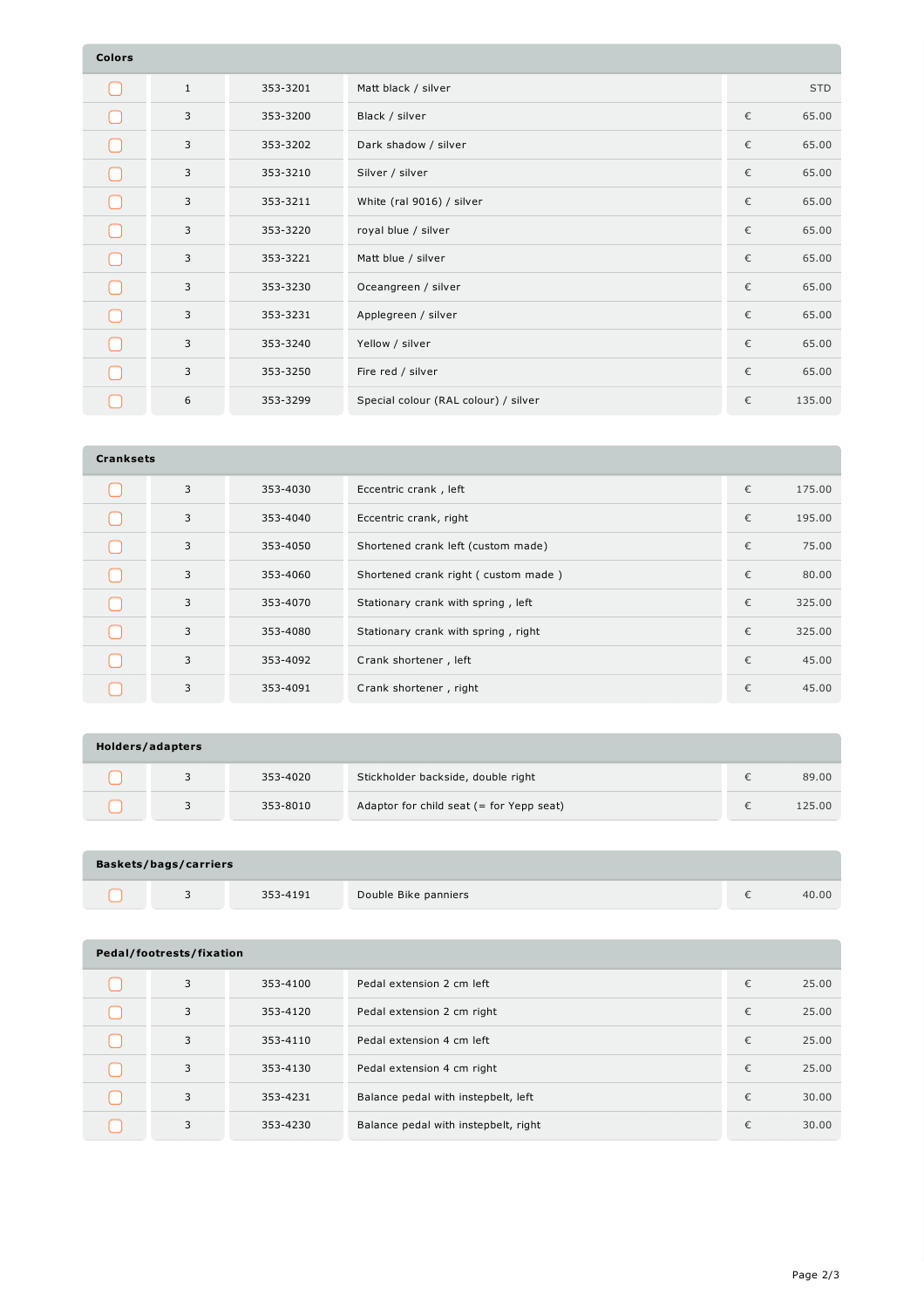| <b>Colors</b> |              |          |                                      |   |            |
|---------------|--------------|----------|--------------------------------------|---|------------|
|               | $\mathbf{1}$ | 353-3201 | Matt black / silver                  |   | <b>STD</b> |
|               | 3            | 353-3200 | Black / silver                       | € | 65.00      |
|               | 3            | 353-3202 | Dark shadow / silver                 | € | 65.00      |
|               | 3            | 353-3210 | Silver / silver                      | € | 65.00      |
|               | 3            | 353-3211 | White (ral 9016) / silver            | € | 65.00      |
|               | 3            | 353-3220 | royal blue / silver                  | € | 65.00      |
|               | 3            | 353-3221 | Matt blue / silver                   | € | 65.00      |
|               | 3            | 353-3230 | Oceangreen / silver                  | € | 65.00      |
|               | 3            | 353-3231 | Applegreen / silver                  | € | 65.00      |
|               | 3            | 353-3240 | Yellow / silver                      | € | 65.00      |
|               | 3            | 353-3250 | Fire red / silver                    | € | 65.00      |
|               | 6            | 353-3299 | Special colour (RAL colour) / silver | € | 135.00     |

| <b>Cranksets</b> |   |          |                                     |   |        |  |  |  |
|------------------|---|----------|-------------------------------------|---|--------|--|--|--|
|                  | 3 | 353-4030 | Eccentric crank, left               | € | 175.00 |  |  |  |
|                  | 3 | 353-4040 | Eccentric crank, right              | € | 195.00 |  |  |  |
|                  | 3 | 353-4050 | Shortened crank left (custom made)  | € | 75.00  |  |  |  |
|                  | 3 | 353-4060 | Shortened crank right (custom made) | € | 80.00  |  |  |  |
|                  | 3 | 353-4070 | Stationary crank with spring, left  | € | 325.00 |  |  |  |
|                  | 3 | 353-4080 | Stationary crank with spring, right | € | 325.00 |  |  |  |
|                  | 3 | 353-4092 | Crank shortener, left               | € | 45.00  |  |  |  |
|                  | 3 | 353-4091 | Crank shortener, right              | € | 45.00  |  |  |  |

| Holders/adapters |  |          |                                            |  |        |  |  |  |
|------------------|--|----------|--------------------------------------------|--|--------|--|--|--|
|                  |  | 353-4020 | Stickholder backside, double right         |  | 89.00  |  |  |  |
|                  |  | 353-8010 | Adaptor for child seat $(=$ for Yepp seat) |  | 125.00 |  |  |  |

| <b>Baskets/bags/carriers</b> |  |          |                      |  |       |  |  |
|------------------------------|--|----------|----------------------|--|-------|--|--|
|                              |  | 353-4191 | Double Bike panniers |  | 40.00 |  |  |

| Pedal/footrests/fixation |   |          |                                      |   |       |  |  |  |
|--------------------------|---|----------|--------------------------------------|---|-------|--|--|--|
|                          | 3 | 353-4100 | Pedal extension 2 cm left            | € | 25.00 |  |  |  |
|                          | 3 | 353-4120 | Pedal extension 2 cm right           | € | 25.00 |  |  |  |
|                          | 3 | 353-4110 | Pedal extension 4 cm left            | € | 25.00 |  |  |  |
|                          | 3 | 353-4130 | Pedal extension 4 cm right           | € | 25.00 |  |  |  |
|                          | 3 | 353-4231 | Balance pedal with instepbelt, left  | € | 30.00 |  |  |  |
|                          | 3 | 353-4230 | Balance pedal with instepbelt, right | € | 30.00 |  |  |  |